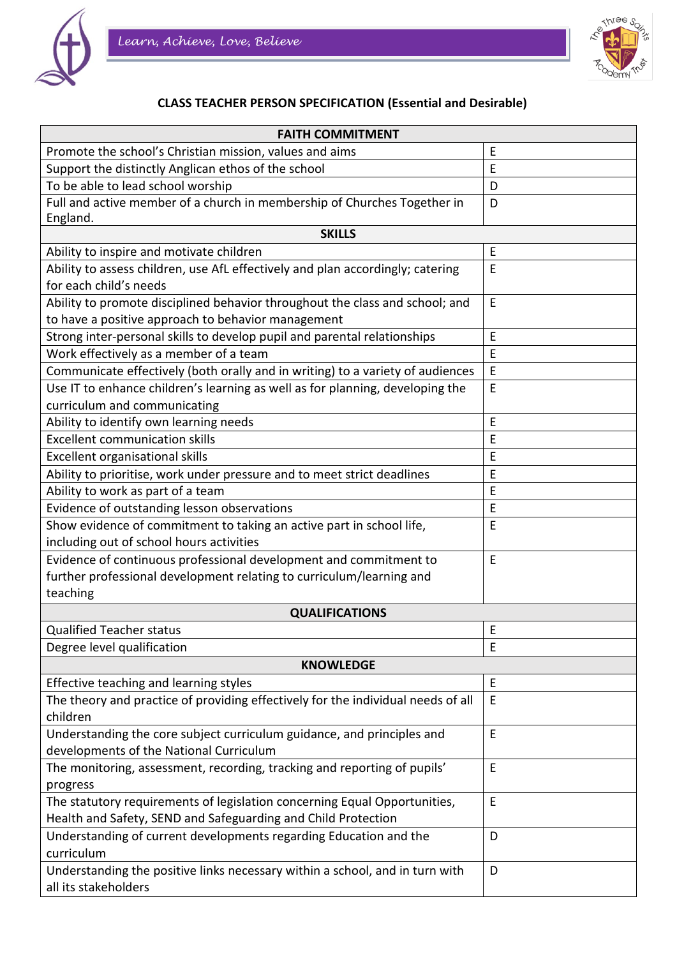



## **CLASS TEACHER PERSON SPECIFICATION (Essential and Desirable)**

| <b>FAITH COMMITMENT</b>                                                              |   |  |
|--------------------------------------------------------------------------------------|---|--|
| Promote the school's Christian mission, values and aims                              | E |  |
| Support the distinctly Anglican ethos of the school                                  | E |  |
| To be able to lead school worship                                                    | D |  |
| Full and active member of a church in membership of Churches Together in<br>England. | D |  |
| <b>SKILLS</b>                                                                        |   |  |
| Ability to inspire and motivate children                                             | E |  |
| Ability to assess children, use AfL effectively and plan accordingly; catering       | E |  |
| for each child's needs                                                               |   |  |
| Ability to promote disciplined behavior throughout the class and school; and         | E |  |
| to have a positive approach to behavior management                                   |   |  |
| Strong inter-personal skills to develop pupil and parental relationships             | E |  |
| Work effectively as a member of a team                                               | E |  |
| Communicate effectively (both orally and in writing) to a variety of audiences       | E |  |
| Use IT to enhance children's learning as well as for planning, developing the        | E |  |
| curriculum and communicating                                                         |   |  |
| Ability to identify own learning needs                                               | E |  |
| <b>Excellent communication skills</b>                                                | E |  |
| Excellent organisational skills                                                      | E |  |
| Ability to prioritise, work under pressure and to meet strict deadlines              | E |  |
| Ability to work as part of a team                                                    | E |  |
| Evidence of outstanding lesson observations                                          | E |  |
| Show evidence of commitment to taking an active part in school life,                 | E |  |
| including out of school hours activities                                             |   |  |
| Evidence of continuous professional development and commitment to                    | E |  |
| further professional development relating to curriculum/learning and                 |   |  |
| teaching                                                                             |   |  |
| <b>QUALIFICATIONS</b>                                                                |   |  |
| <b>Qualified Teacher status</b>                                                      | E |  |
| Degree level qualification                                                           | E |  |
| <b>KNOWLEDGE</b>                                                                     |   |  |
| Effective teaching and learning styles                                               | E |  |
| The theory and practice of providing effectively for the individual needs of all     | E |  |
| children                                                                             |   |  |
| Understanding the core subject curriculum guidance, and principles and               | E |  |
| developments of the National Curriculum                                              |   |  |
| The monitoring, assessment, recording, tracking and reporting of pupils'             | E |  |
| progress                                                                             |   |  |
| The statutory requirements of legislation concerning Equal Opportunities,            | E |  |
| Health and Safety, SEND and Safeguarding and Child Protection                        |   |  |
| Understanding of current developments regarding Education and the                    | D |  |
| curriculum                                                                           |   |  |
| Understanding the positive links necessary within a school, and in turn with         | D |  |
| all its stakeholders                                                                 |   |  |